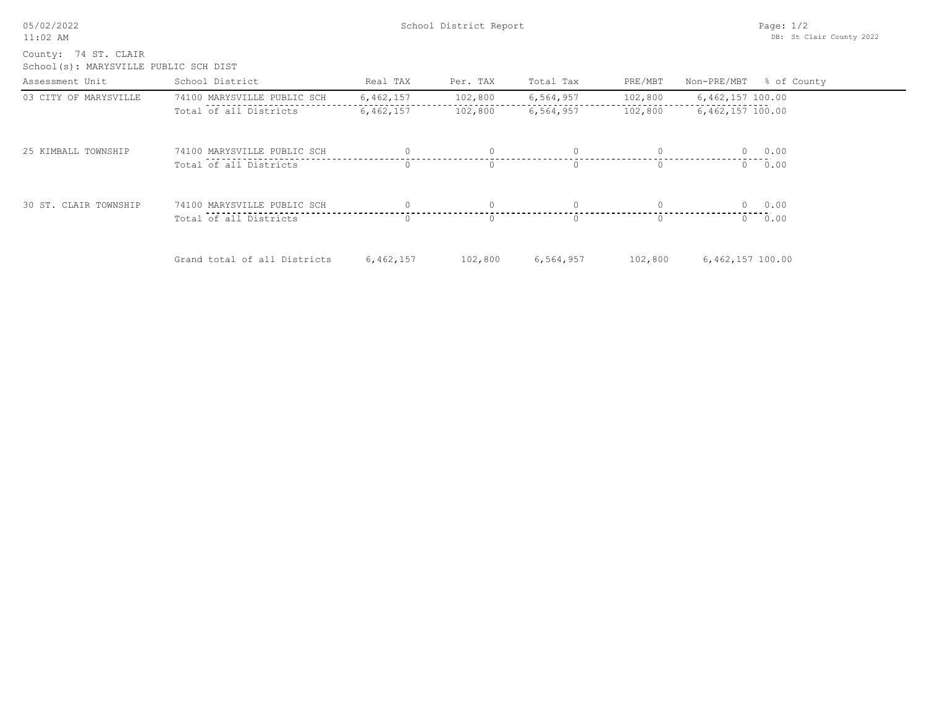05/02/2022 11:02 AM

School(s): MARYSVILLE PUBLIC SCH DIST County: 74 ST. CLAIR

| Assessment Unit       | School District              | Real TAX  | Per. TAX         | Total Tax | PRE/MBT  | Non-PRE/MBT % of County |
|-----------------------|------------------------------|-----------|------------------|-----------|----------|-------------------------|
| 03 CITY OF MARYSVILLE | 74100 MARYSVILLE PUBLIC SCH  | 6,462,157 | 102,800          | 6,564,957 | 102,800  | 6,462,157 100.00        |
|                       | Total of all Districts       | 6,462,157 | 102,800          | 6,564,957 | 102,800  | $6,462,157$ 100.00      |
| 25 KIMBALL TOWNSHIP   | 74100 MARYSVILLE PUBLIC SCH  |           | $\Omega$         | $\Omega$  | $\Omega$ | 0.00<br>$\Omega$        |
|                       | Total of all Districts       | $\Omega$  | $\Omega$         | $\Omega$  | $\Omega$ | 0.00<br>$\Omega$        |
| 30 ST. CLAIR TOWNSHIP | 74100 MARYSVILLE PUBLIC SCH  |           |                  |           |          | 0 0.00                  |
|                       | Total of all Districts       |           | $\left( \right)$ | O.        | $\Omega$ | 0.00<br>$\Omega$        |
|                       | Grand total of all Districts | 6,462,157 | 102,800          | 6,564,957 | 102,800  | $6,462,157$ 100.00      |